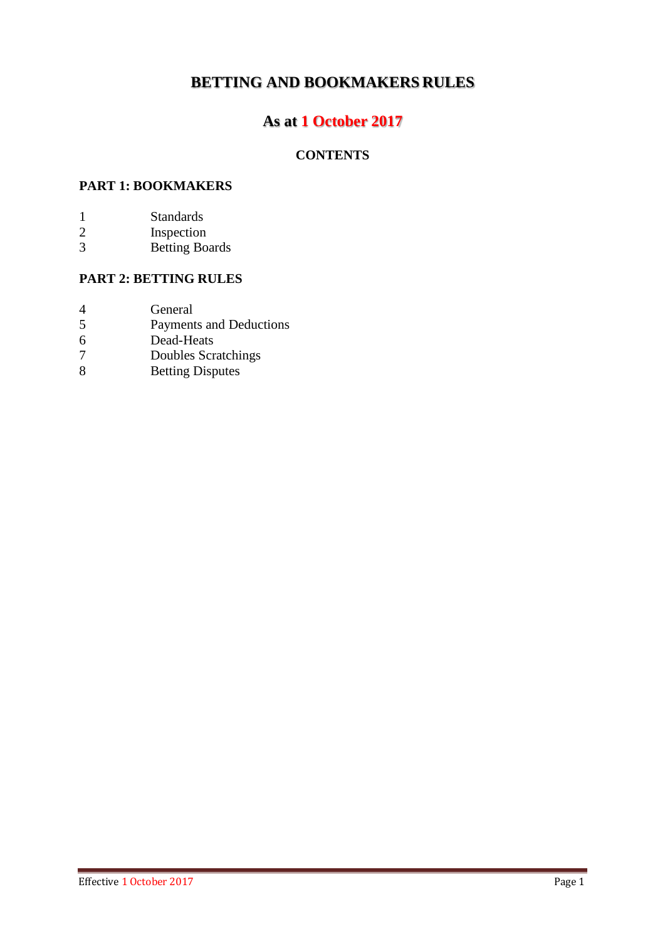# **BETTING AND BOOKMAKERS RULES**

# **As at 1 October 2017**

# **CONTENTS**

## **PART 1: BOOKMAKERS**

- 1 Standards<br>2 Inspection
- 2 Inspection<br>3 Betting Bo
- Betting Boards

# **PART 2: BETTING RULES**

| General |
|---------|
|         |

- 5 Payments and Deductions<br>6 Dead-Heats
- 6 Dead-Heats<br>7 Doubles Scr
- 7 Doubles Scratchings
- 8 Betting Disputes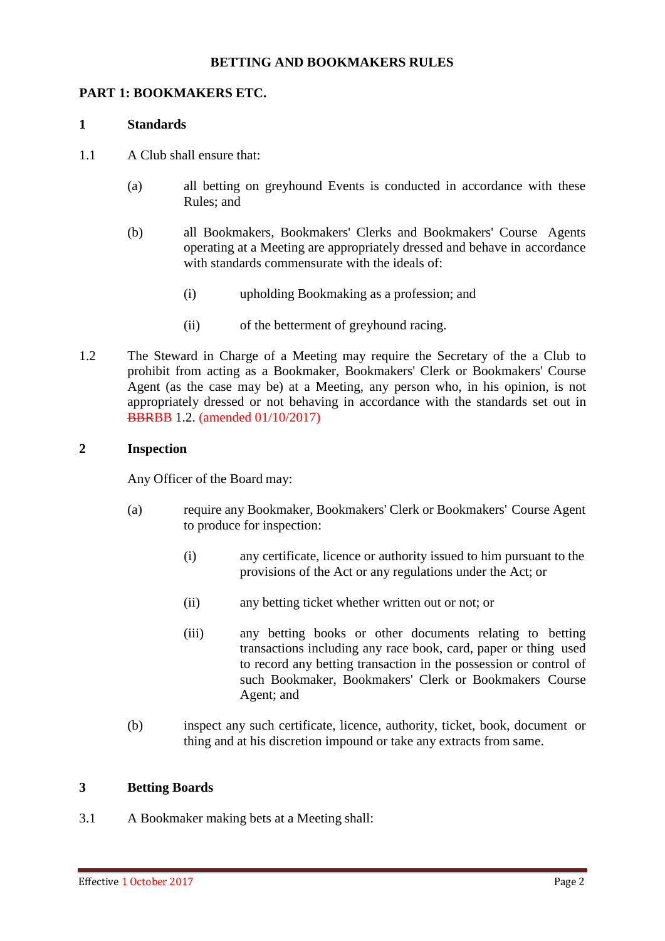#### **BETTING AND BOOKMAKERS RULES**

#### **PART 1: BOOKMAKERS ETC.**

#### **1 Standards**

- 1.1 A Club shall ensure that:
	- (a) all betting on greyhound Events is conducted in accordance with these Rules; and
	- (b) all Bookmakers, Bookmakers' Clerks and Bookmakers' Course Agents operating at a Meeting are appropriately dressed and behave in accordance with standards commensurate with the ideals of:
		- (i) upholding Bookmaking as a profession; and
		- (ii) of the betterment of greyhound racing.
- 1.2 The Steward in Charge of a Meeting may require the Secretary of the a Club to prohibit from acting as a Bookmaker, Bookmakers' Clerk or Bookmakers' Course Agent (as the case may be) at a Meeting, any person who, in his opinion, is not appropriately dressed or not behaving in accordance with the standards set out in BBRBB 1.2. (amended 01/10/2017)

#### **2 Inspection**

Any Officer of the Board may:

- (a) require any Bookmaker, Bookmakers' Clerk or Bookmakers' Course Agent to produce for inspection:
	- (i) any certificate, licence or authority issued to him pursuant to the provisions of the Act or any regulations under the Act; or
	- (ii) any betting ticket whether written out or not; or
	- (iii) any betting books or other documents relating to betting transactions including any race book, card, paper or thing used to record any betting transaction in the possession or control of such Bookmaker, Bookmakers' Clerk or Bookmakers Course Agent; and
- (b) inspect any such certificate, licence, authority, ticket, book, document or thing and at his discretion impound or take any extracts from same.

### **3 Betting Boards**

3.1 A Bookmaker making bets at a Meeting shall: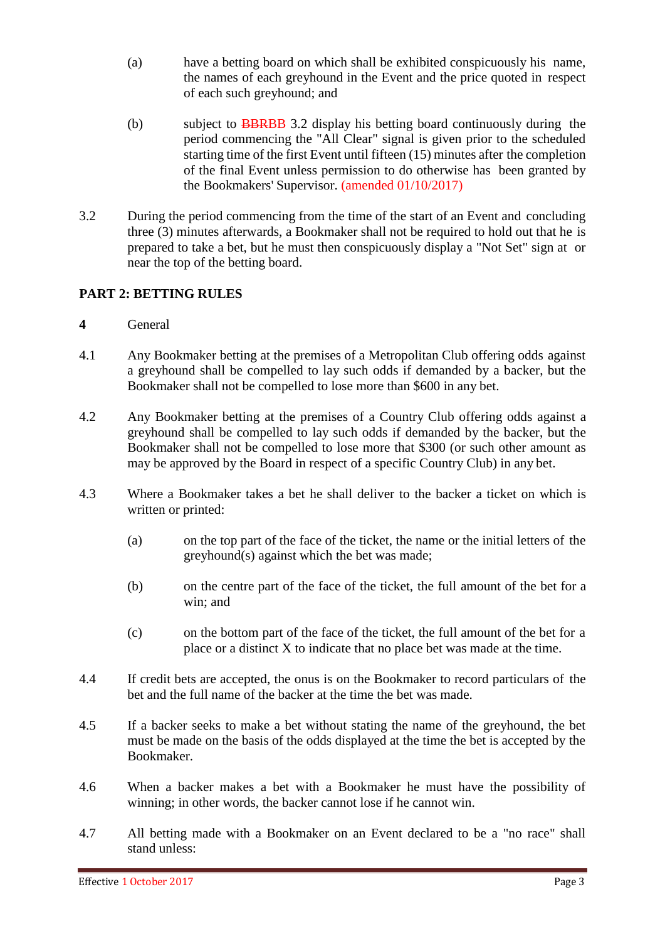- (a) have a betting board on which shall be exhibited conspicuously his name, the names of each greyhound in the Event and the price quoted in respect of each such greyhound; and
- (b) subject to **BBRBB** 3.2 display his betting board continuously during the period commencing the "All Clear" signal is given prior to the scheduled starting time of the first Event until fifteen (15) minutes after the completion of the final Event unless permission to do otherwise has been granted by the Bookmakers' Supervisor. (amended 01/10/2017)
- 3.2 During the period commencing from the time of the start of an Event and concluding three (3) minutes afterwards, a Bookmaker shall not be required to hold out that he is prepared to take a bet, but he must then conspicuously display a "Not Set" sign at or near the top of the betting board.

# **PART 2: BETTING RULES**

- **4** General
- 4.1 Any Bookmaker betting at the premises of a Metropolitan Club offering odds against a greyhound shall be compelled to lay such odds if demanded by a backer, but the Bookmaker shall not be compelled to lose more than \$600 in any bet.
- 4.2 Any Bookmaker betting at the premises of a Country Club offering odds against a greyhound shall be compelled to lay such odds if demanded by the backer, but the Bookmaker shall not be compelled to lose more that \$300 (or such other amount as may be approved by the Board in respect of a specific Country Club) in any bet.
- 4.3 Where a Bookmaker takes a bet he shall deliver to the backer a ticket on which is written or printed:
	- (a) on the top part of the face of the ticket, the name or the initial letters of the greyhound(s) against which the bet was made;
	- (b) on the centre part of the face of the ticket, the full amount of the bet for a win; and
	- (c) on the bottom part of the face of the ticket, the full amount of the bet for a place or a distinct X to indicate that no place bet was made at the time.
- 4.4 If credit bets are accepted, the onus is on the Bookmaker to record particulars of the bet and the full name of the backer at the time the bet was made.
- 4.5 If a backer seeks to make a bet without stating the name of the greyhound, the bet must be made on the basis of the odds displayed at the time the bet is accepted by the Bookmaker.
- 4.6 When a backer makes a bet with a Bookmaker he must have the possibility of winning; in other words, the backer cannot lose if he cannot win.
- 4.7 All betting made with a Bookmaker on an Event declared to be a "no race" shall stand unless: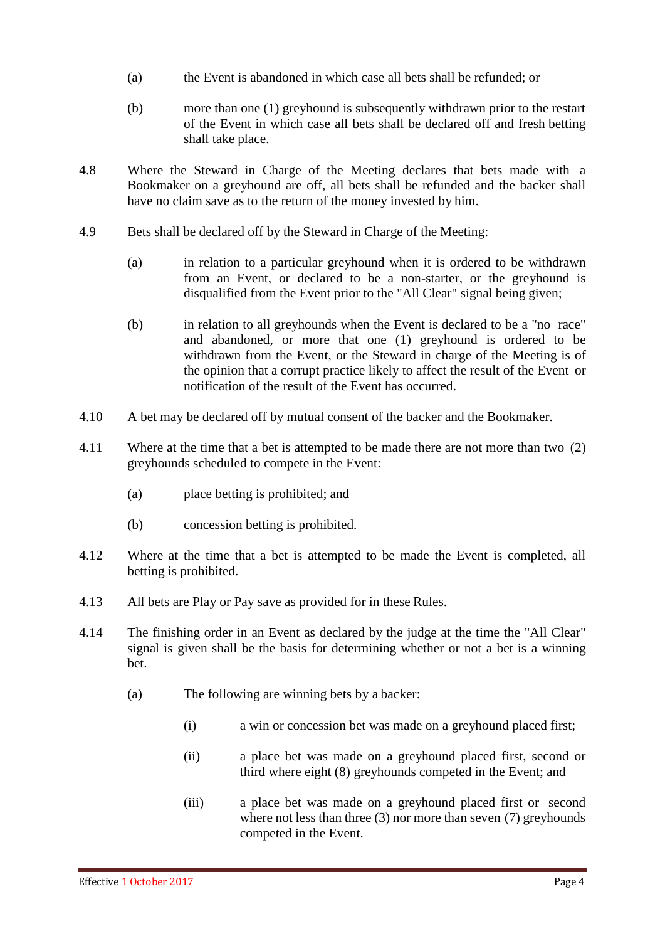- (a) the Event is abandoned in which case all bets shall be refunded; or
- (b) more than one (1) greyhound is subsequently withdrawn prior to the restart of the Event in which case all bets shall be declared off and fresh betting shall take place.
- 4.8 Where the Steward in Charge of the Meeting declares that bets made with a Bookmaker on a greyhound are off, all bets shall be refunded and the backer shall have no claim save as to the return of the money invested by him.
- 4.9 Bets shall be declared off by the Steward in Charge of the Meeting:
	- (a) in relation to a particular greyhound when it is ordered to be withdrawn from an Event, or declared to be a non-starter, or the greyhound is disqualified from the Event prior to the "All Clear" signal being given;
	- (b) in relation to all greyhounds when the Event is declared to be a "no race" and abandoned, or more that one (1) greyhound is ordered to be withdrawn from the Event, or the Steward in charge of the Meeting is of the opinion that a corrupt practice likely to affect the result of the Event or notification of the result of the Event has occurred.
- 4.10 A bet may be declared off by mutual consent of the backer and the Bookmaker.
- 4.11 Where at the time that a bet is attempted to be made there are not more than two (2) greyhounds scheduled to compete in the Event:
	- (a) place betting is prohibited; and
	- (b) concession betting is prohibited.
- 4.12 Where at the time that a bet is attempted to be made the Event is completed, all betting is prohibited.
- 4.13 All bets are Play or Pay save as provided for in these Rules.
- 4.14 The finishing order in an Event as declared by the judge at the time the "All Clear" signal is given shall be the basis for determining whether or not a bet is a winning bet.
	- (a) The following are winning bets by a backer:
		- (i) a win or concession bet was made on a greyhound placed first;
		- (ii) a place bet was made on a greyhound placed first, second or third where eight (8) greyhounds competed in the Event; and
		- (iii) a place bet was made on a greyhound placed first or second where not less than three (3) nor more than seven (7) greyhounds competed in the Event.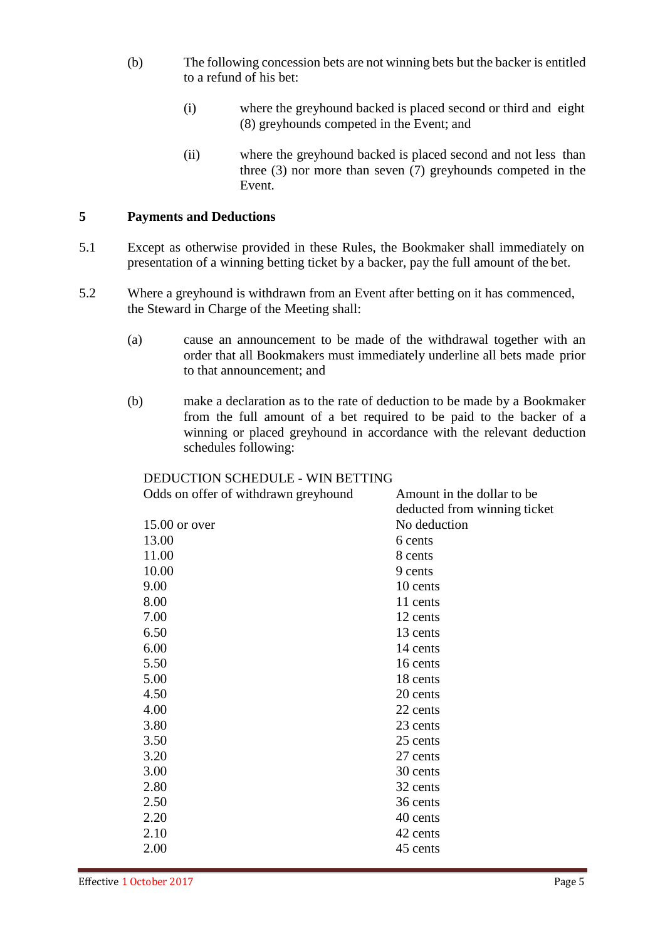- (b) The following concession bets are not winning bets but the backer is entitled to a refund of his bet:
	- (i) where the greyhound backed is placed second or third and eight (8) greyhounds competed in the Event; and
	- (ii) where the greyhound backed is placed second and not less than three (3) nor more than seven (7) greyhounds competed in the Event.

#### **5 Payments and Deductions**

- 5.1 Except as otherwise provided in these Rules, the Bookmaker shall immediately on presentation of a winning betting ticket by a backer, pay the full amount of the bet.
- 5.2 Where a greyhound is withdrawn from an Event after betting on it has commenced, the Steward in Charge of the Meeting shall:
	- (a) cause an announcement to be made of the withdrawal together with an order that all Bookmakers must immediately underline all bets made prior to that announcement; and
	- (b) make a declaration as to the rate of deduction to be made by a Bookmaker from the full amount of a bet required to be paid to the backer of a winning or placed greyhound in accordance with the relevant deduction schedules following:

## DEDUCTION SCHEDULE - WIN BETTING

| Odds on offer of withdrawn greyhound | Amount in the dollar to be   |
|--------------------------------------|------------------------------|
|                                      | deducted from winning ticket |
| 15.00 or over                        | No deduction                 |
| 13.00                                | 6 cents                      |
| 11.00                                | 8 cents                      |
| 10.00                                | 9 cents                      |
| 9.00                                 | 10 cents                     |
| 8.00                                 | 11 cents                     |
| 7.00                                 | 12 cents                     |
| 6.50                                 | 13 cents                     |
| 6.00                                 | 14 cents                     |
| 5.50                                 | 16 cents                     |
| 5.00                                 | 18 cents                     |
| 4.50                                 | 20 cents                     |
| 4.00                                 | 22 cents                     |
| 3.80                                 | 23 cents                     |
| 3.50                                 | 25 cents                     |
| 3.20                                 | 27 cents                     |
| 3.00                                 | 30 cents                     |
| 2.80                                 | 32 cents                     |
| 2.50                                 | 36 cents                     |
| 2.20                                 | 40 cents                     |
| 2.10                                 | 42 cents                     |
| 2.00                                 | 45 cents                     |
|                                      |                              |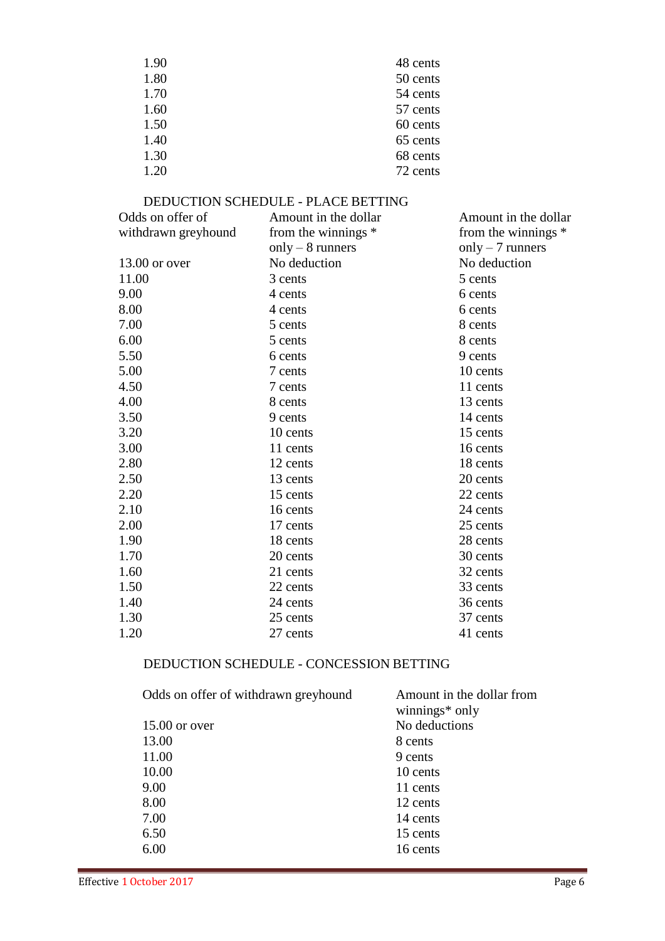| 1.90 | 48 cents |
|------|----------|
| 1.80 | 50 cents |
| 1.70 | 54 cents |
| 1.60 | 57 cents |
| 1.50 | 60 cents |
| 1.40 | 65 cents |
| 1.30 | 68 cents |
| 1.20 | 72 cents |

#### DEDUCTION SCHEDULE - PLACE BETTING

| Odds on offer of    | Amount in the dollar | Amount in the dollar |
|---------------------|----------------------|----------------------|
| withdrawn greyhound | from the winnings *  | from the winnings *  |
|                     | only $-8$ runners    | only $-7$ runners    |
| $13.00$ or over     | No deduction         | No deduction         |
| 11.00               | 3 cents              | 5 cents              |
| 9.00                | 4 cents              | 6 cents              |
| 8.00                | 4 cents              | 6 cents              |
| 7.00                | 5 cents              | 8 cents              |
| 6.00                | 5 cents              | 8 cents              |
| 5.50                | 6 cents              | 9 cents              |
| 5.00                | 7 cents              | 10 cents             |
| 4.50                | 7 cents              | 11 cents             |
| 4.00                | 8 cents              | 13 cents             |
| 3.50                | 9 cents              | 14 cents             |
| 3.20                | 10 cents             | 15 cents             |
| 3.00                | 11 cents             | 16 cents             |
| 2.80                | 12 cents             | 18 cents             |
| 2.50                | 13 cents             | 20 cents             |
| 2.20                | 15 cents             | 22 cents             |
| 2.10                | 16 cents             | 24 cents             |
| 2.00                | 17 cents             | 25 cents             |
| 1.90                | 18 cents             | 28 cents             |
| 1.70                | 20 cents             | 30 cents             |
| 1.60                | 21 cents             | 32 cents             |
| 1.50                | 22 cents             | 33 cents             |
| 1.40                | 24 cents             | 36 cents             |
| 1.30                | 25 cents             | 37 cents             |
| 1.20                | 27 cents             | 41 cents             |
|                     |                      |                      |

# DEDUCTION SCHEDULE - CONCESSION BETTING

| winnings* only                   |  |
|----------------------------------|--|
| No deductions<br>$15.00$ or over |  |
| 13.00<br>8 cents                 |  |
| 11.00<br>9 cents                 |  |
| 10.00<br>10 cents                |  |
| 9.00<br>11 cents                 |  |
| 8.00<br>12 cents                 |  |
| 7.00<br>14 cents                 |  |
| 6.50<br>15 cents                 |  |
| 6.00<br>16 cents                 |  |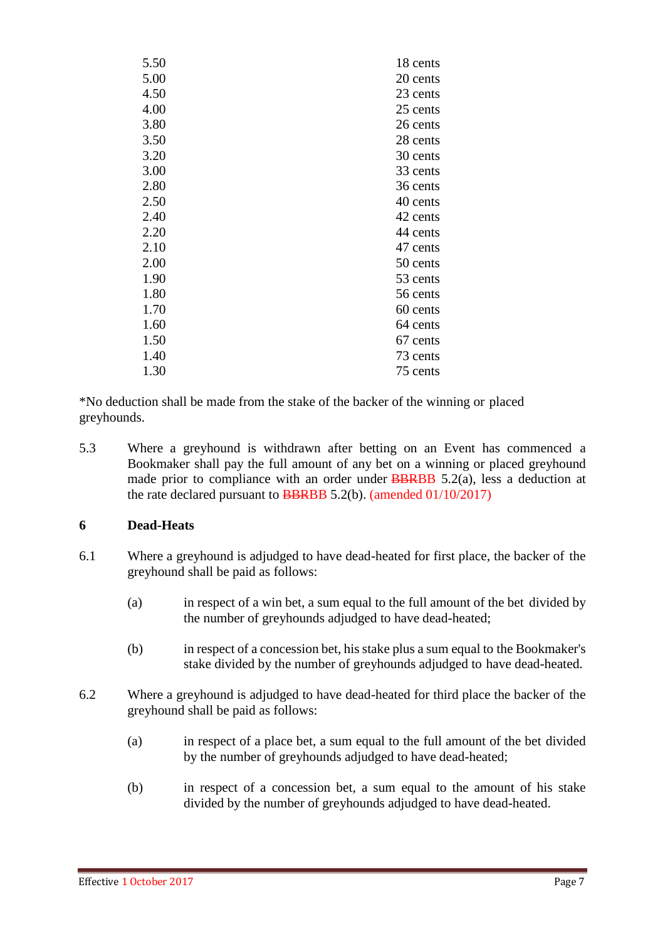| 5.50 | 18 cents |
|------|----------|
| 5.00 | 20 cents |
| 4.50 | 23 cents |
| 4.00 | 25 cents |
| 3.80 | 26 cents |
| 3.50 | 28 cents |
| 3.20 | 30 cents |
| 3.00 | 33 cents |
| 2.80 | 36 cents |
| 2.50 | 40 cents |
| 2.40 | 42 cents |
| 2.20 | 44 cents |
| 2.10 | 47 cents |
| 2.00 | 50 cents |
| 1.90 | 53 cents |
| 1.80 | 56 cents |
| 1.70 | 60 cents |
| 1.60 | 64 cents |
| 1.50 | 67 cents |
| 1.40 | 73 cents |
| 1.30 | 75 cents |
|      |          |

\*No deduction shall be made from the stake of the backer of the winning or placed greyhounds.

5.3 Where a greyhound is withdrawn after betting on an Event has commenced a Bookmaker shall pay the full amount of any bet on a winning or placed greyhound made prior to compliance with an order under **BBRBB** 5.2(a), less a deduction at the rate declared pursuant to **BBRBB** 5.2(b). (amended  $01/10/2017$ )

### **6 Dead-Heats**

- 6.1 Where a greyhound is adjudged to have dead-heated for first place, the backer of the greyhound shall be paid as follows:
	- (a) in respect of a win bet, a sum equal to the full amount of the bet divided by the number of greyhounds adjudged to have dead-heated;
	- (b) in respect of a concession bet, his stake plus a sum equal to the Bookmaker's stake divided by the number of greyhounds adjudged to have dead-heated.
- 6.2 Where a greyhound is adjudged to have dead-heated for third place the backer of the greyhound shall be paid as follows:
	- (a) in respect of a place bet, a sum equal to the full amount of the bet divided by the number of greyhounds adjudged to have dead-heated;
	- (b) in respect of a concession bet, a sum equal to the amount of his stake divided by the number of greyhounds adjudged to have dead-heated.